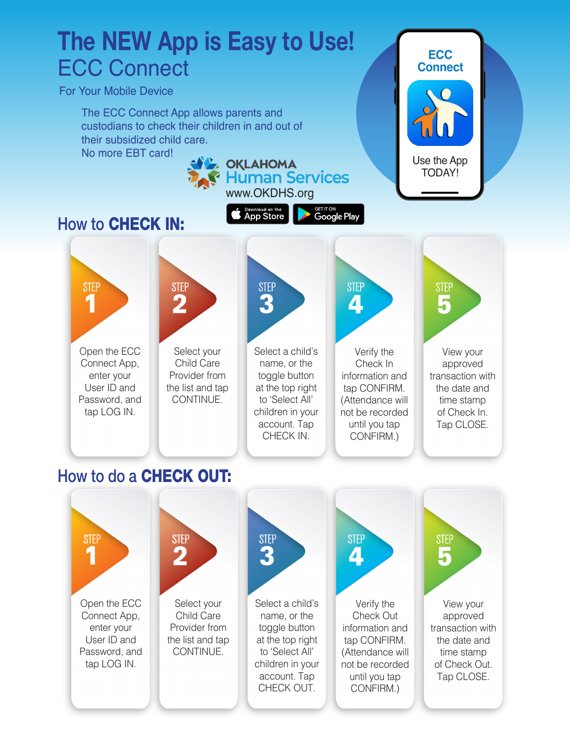